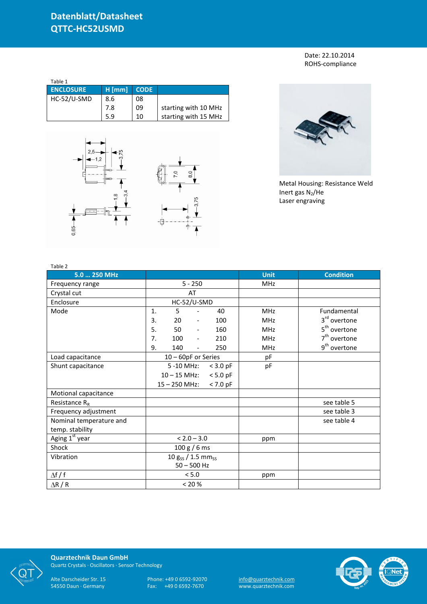Date: 22.10.2014 ROHS-compliance

| Table 1          |          |             |                      |
|------------------|----------|-------------|----------------------|
| <b>ENCLOSURE</b> | $H$ [mm] | <b>CODE</b> |                      |
| HC-52/U-SMD      | 8.6      | 08          |                      |
|                  | 7.8      | 09          | starting with 10 MHz |
|                  | 5.9      | 10          | starting with 15 MHz |





Metal Housing: Resistance Weld Inert gas  $N_2$ /He Laser engraving

| Table 2                    |                                              |             |                          |
|----------------------------|----------------------------------------------|-------------|--------------------------|
| 5.0  250 MHz               |                                              | <b>Unit</b> | <b>Condition</b>         |
| Frequency range            | $5 - 250$                                    | <b>MHz</b>  |                          |
| Crystal cut                | AT                                           |             |                          |
| Enclosure                  | HC-52/U-SMD                                  |             |                          |
| Mode                       | $\mathbf{1}$ .<br>5<br>40                    | <b>MHz</b>  | Fundamental              |
|                            | 3.<br>20<br>100<br>$\overline{\phantom{a}}$  | <b>MHz</b>  | 3 <sup>rd</sup> overtone |
|                            | 5.<br>50<br>160                              | <b>MHz</b>  | 5 <sup>th</sup> overtone |
|                            | 7.<br>100<br>210<br>$\overline{\phantom{a}}$ | <b>MHz</b>  | $7th$ overtone           |
|                            | 9.<br>140<br>250                             | MHz         | 9 <sup>th</sup> overtone |
| Load capacitance           | 10 - 60pF or Series                          | pF          |                          |
| Shunt capacitance          | 5 -10 MHz:<br>$<$ 3.0 pF                     | pF          |                          |
|                            | $10 - 15$ MHz:<br>$< 5.0$ pF                 |             |                          |
|                            | $< 7.0$ pF<br>$15 - 250$ MHz:                |             |                          |
| Motional capacitance       |                                              |             |                          |
| Resistance $R_R$           |                                              |             | see table 5              |
| Frequency adjustment       |                                              |             | see table 3              |
| Nominal temperature and    |                                              |             | see table 4              |
| temp. stability            |                                              |             |                          |
| Aging 1 <sup>st</sup> year | $< 2.0 - 3.0$                                | ppm         |                          |
| Shock                      | 100 g / 6 ms                                 |             |                          |
| Vibration                  | $10 g_{SS} / 1.5 mm_{SS}$                    |             |                          |
|                            | $50 - 500$ Hz                                |             |                          |
| $\Delta f / f$             | < 5.0                                        | ppm         |                          |
| $\Delta$ R / R             | < 20 %                                       |             |                          |



**Quarztechnik Daun GmbH** Quartz Crystals · Oscillators · Sensor Technology

Alte Darscheider Str. 15 Phone: +49 0 6592-92070 <u>info@quarztechnik.com</u>

54550 Daun · Germany Fax: +49 0 6592-7670 www.quarztechnik.com